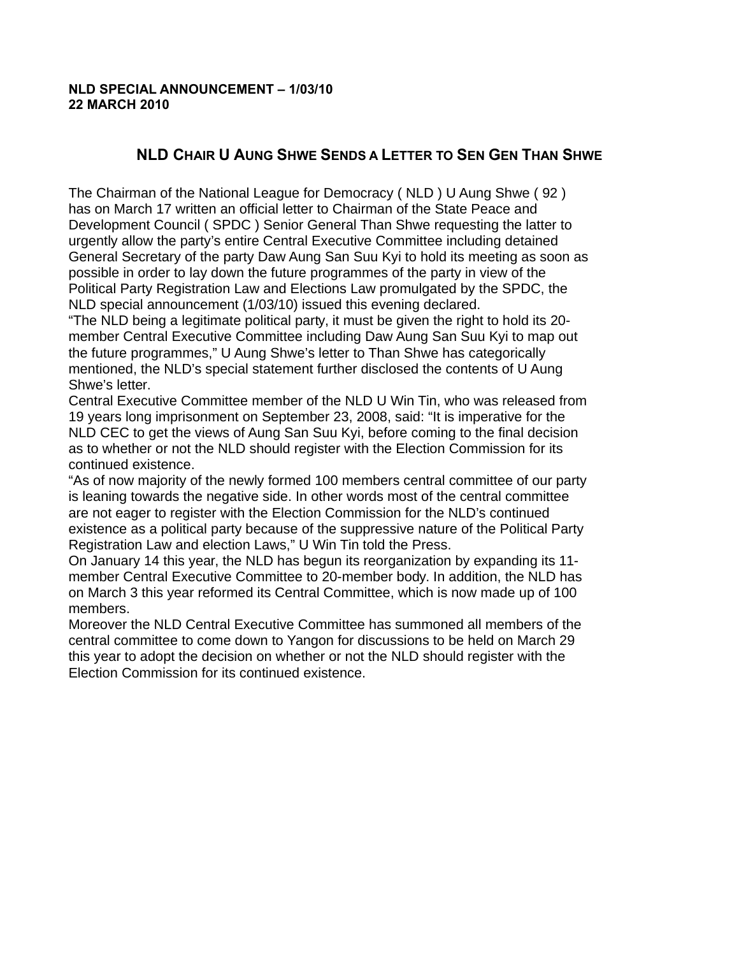## **NLD SPECIAL ANNOUNCEMENT – 1/03/10 22 MARCH 2010**

## **NLD CHAIR U AUNG SHWE SENDS A LETTER TO SEN GEN THAN SHWE**

The Chairman of the National League for Democracy ( NLD ) U Aung Shwe ( 92 ) has on March 17 written an official letter to Chairman of the State Peace and Development Council ( SPDC ) Senior General Than Shwe requesting the latter to urgently allow the party's entire Central Executive Committee including detained General Secretary of the party Daw Aung San Suu Kyi to hold its meeting as soon as possible in order to lay down the future programmes of the party in view of the Political Party Registration Law and Elections Law promulgated by the SPDC, the NLD special announcement (1/03/10) issued this evening declared.

"The NLD being a legitimate political party, it must be given the right to hold its 20 member Central Executive Committee including Daw Aung San Suu Kyi to map out the future programmes," U Aung Shwe's letter to Than Shwe has categorically mentioned, the NLD's special statement further disclosed the contents of U Aung Shwe's letter.

Central Executive Committee member of the NLD U Win Tin, who was released from 19 years long imprisonment on September 23, 2008, said: "It is imperative for the NLD CEC to get the views of Aung San Suu Kyi, before coming to the final decision as to whether or not the NLD should register with the Election Commission for its continued existence.

"As of now majority of the newly formed 100 members central committee of our party is leaning towards the negative side. In other words most of the central committee are not eager to register with the Election Commission for the NLD's continued existence as a political party because of the suppressive nature of the Political Party Registration Law and election Laws," U Win Tin told the Press.

On January 14 this year, the NLD has begun its reorganization by expanding its 11 member Central Executive Committee to 20-member body. In addition, the NLD has on March 3 this year reformed its Central Committee, which is now made up of 100 members.

Moreover the NLD Central Executive Committee has summoned all members of the central committee to come down to Yangon for discussions to be held on March 29 this year to adopt the decision on whether or not the NLD should register with the Election Commission for its continued existence.